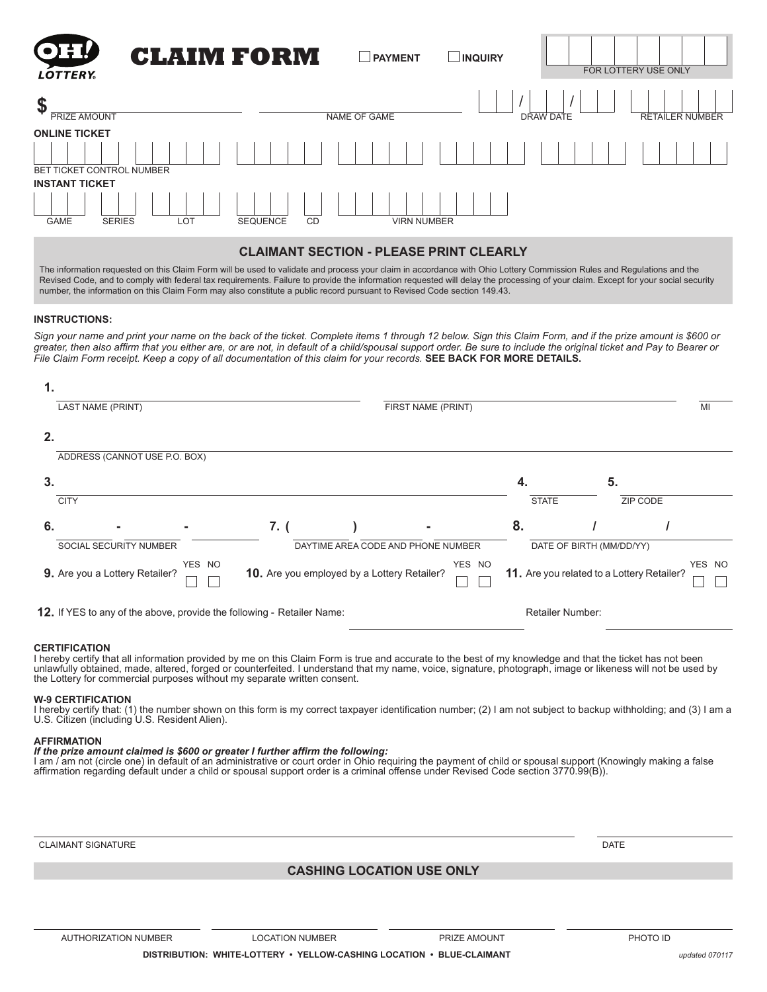| <b>OH!</b><br><b>LOTTERY</b>                                 | <b>CLAIM FORM</b>            | PAYMENT             | <b>LINQUIRY</b> | FOR LOTTERY USE ONLY |                        |
|--------------------------------------------------------------|------------------------------|---------------------|-----------------|----------------------|------------------------|
| \$<br><b>PRIZE AMOUNT</b>                                    |                              | <b>NAME OF GAME</b> |                 | DRAW DATE            | <b>RETAILER NUMBER</b> |
| <b>ONLINE TICKET</b><br><b>BET TICKET CONTROL NUMBER</b>     |                              |                     |                 |                      |                        |
| <b>INSTANT TICKET</b><br><b>SERIES</b><br>LOT<br><b>GAME</b> | <b>SEQUENCE</b><br><b>CD</b> | <b>VIRN NUMBER</b>  |                 |                      |                        |

#### **CLAIMANT SECTION - PLEASE PRINT CLEARLY**

The information requested on this Claim Form will be used to validate and process your claim in accordance with Ohio Lottery Commission Rules and Regulations and the Revised Code, and to comply with federal tax requirements. Failure to provide the information requested will delay the processing of your claim. Except for your social security number, the information on this Claim Form may also constitute a public record pursuant to Revised Code section 149.43.

#### **INSTRUCTIONS:**

*Sign your name and print your name on the back of the ticket. Complete items 1 through 12 below. Sign this Claim Form, and if the prize amount is \$600 or*  greater, then also affirm that you either are, or are not, in default of a child/spousal support order. Be sure to include the original ticket and Pay to Bearer or *File Claim Form receipt. Keep a copy of all documentation of this claim for your records.* **SEE BACK FOR MORE DETAILS.**

| 1. |                                                                        |        |                                             |                                                      |                                                                |                         |    |          |    |
|----|------------------------------------------------------------------------|--------|---------------------------------------------|------------------------------------------------------|----------------------------------------------------------------|-------------------------|----|----------|----|
|    | LAST NAME (PRINT)                                                      |        |                                             |                                                      | FIRST NAME (PRINT)                                             |                         |    |          | MI |
| 2. |                                                                        |        |                                             |                                                      |                                                                |                         |    |          |    |
|    | ADDRESS (CANNOT USE P.O. BOX)                                          |        |                                             |                                                      |                                                                |                         |    |          |    |
| 3. |                                                                        |        |                                             |                                                      |                                                                | 4.                      | 5. |          |    |
|    | <b>CITY</b>                                                            |        |                                             |                                                      |                                                                | <b>STATE</b>            |    | ZIP CODE |    |
| 6. |                                                                        |        | 7. (                                        |                                                      |                                                                | 8.                      |    |          |    |
|    | SOCIAL SECURITY NUMBER                                                 |        |                                             |                                                      | DAYTIME AREA CODE AND PHONE NUMBER<br>DATE OF BIRTH (MM/DD/YY) |                         |    |          |    |
|    | 9. Are you a Lottery Retailer?                                         | YES NO | 10. Are you employed by a Lottery Retailer? | YES NO<br>11. Are you related to a Lottery Retailer? |                                                                |                         |    |          |    |
|    | 12. If YES to any of the above, provide the following - Retailer Name: |        |                                             |                                                      |                                                                | <b>Retailer Number:</b> |    |          |    |

#### **CERTIFICATION**

I hereby certify that all information provided by me on this Claim Form is true and accurate to the best of my knowledge and that the ticket has not been<br>unlawfully obtained, made, altered, forged or counterfeited. I under the Lottery for commercial purposes without my separate written consent.

#### **W-9 CERTIFICATION**

I hereby certify that: (1) the number shown on this form is my correct taxpayer identification number; (2) I am not subject to backup withholding; and (3) I am a U.S. Citizen (including U.S. Resident Alien).

#### **AFFIRMATION**

#### *If the prize amount claimed is \$600 or greater I further affirm the following:*

I am / am not (circle one) in default of an administrative or court order in Ohio requiring the payment of child or spousal support (Knowingly making a false affirmation regarding default under a child or spousal support order is a criminal offense under Revised Code section 3770.99(B)).

CLAIMANT SIGNATURE DATE DATE ON A SERVICE OF SERVICE OF A SERVICE OF SERVICE OF A SERVICE OF DATE OF A SERVICE O

# **CASHING LOCATION USE ONLY**

**DISTRIBUTION: WHITE-LOTTERY • YELLOW-CASHING LOCATION • BLUE-CLAIMANT** *updated 070117*